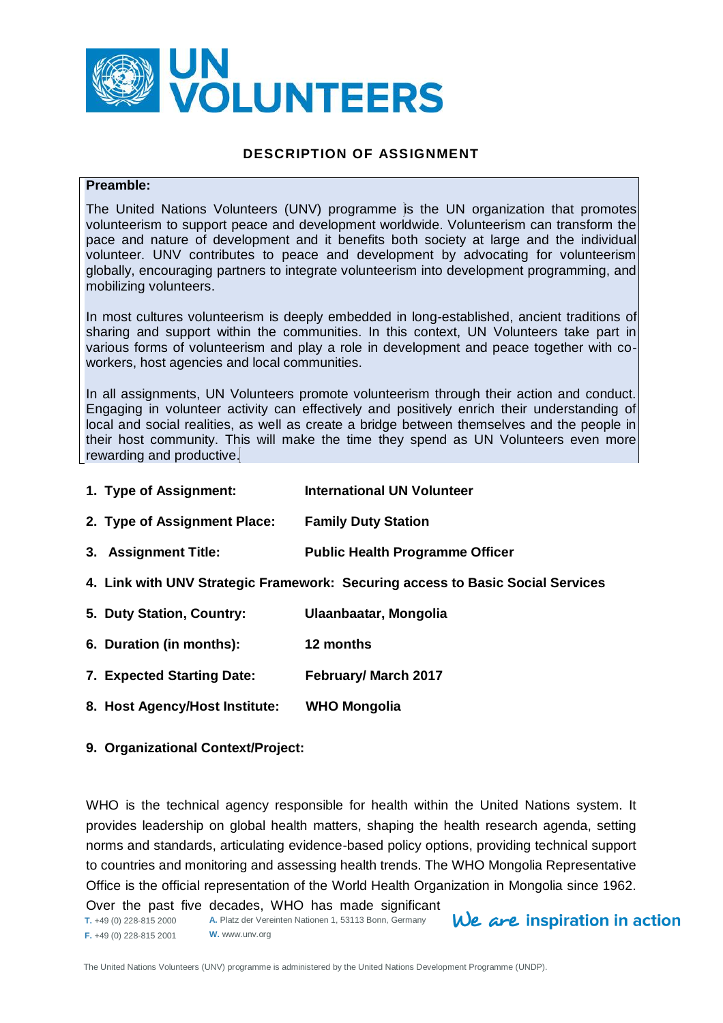

## **DESCRIPTION OF ASSIGNMENT**

#### **Preamble:**

The United Nations Volunteers (UNV) programme is the UN organization that promotes volunteerism to support peace and development worldwide. Volunteerism can transform the pace and nature of development and it benefits both society at large and the individual volunteer. UNV contributes to peace and development by advocating for volunteerism globally, encouraging partners to integrate volunteerism into development programming, and mobilizing volunteers.

In most cultures volunteerism is deeply embedded in long-established, ancient traditions of sharing and support within the communities. In this context, UN Volunteers take part in various forms of volunteerism and play a role in development and peace together with coworkers, host agencies and local communities.

In all assignments, UN Volunteers promote volunteerism through their action and conduct. Engaging in volunteer activity can effectively and positively enrich their understanding of local and social realities, as well as create a bridge between themselves and the people in their host community. This will make the time they spend as UN Volunteers even more rewarding and productive.

- **1. Type of Assignment: International UN Volunteer**
- **2. Type of Assignment Place: Family Duty Station**
- **3. Assignment Title: Public Health Programme Officer**
- **4. Link with UNV Strategic Framework: Securing access to Basic Social Services**
- **5. Duty Station, Country: Ulaanbaatar, Mongolia**
- **6. Duration (in months): 12 months**
- **7. Expected Starting Date: February/ March 2017**
- **8. Host Agency/Host Institute: WHO Mongolia**

#### **9. Organizational Context/Project:**

WHO is the technical agency responsible for health within the United Nations system. It provides leadership on global health matters, shaping the health research agenda, setting norms and standards, articulating evidence-based policy options, providing technical support to countries and monitoring and assessing health trends. The WHO Mongolia Representative Office is the official representation of the World Health Organization in Mongolia since 1962.

**T.** +49 (0) 228-815 2000 **F.** +49 (0) 228-815 2001 **A.** Platz der Vereinten Nationen 1, 53113 Bonn, Germany **W.** www.unv.org Over the past five decades, WHO has made significant

 $We$  are inspiration in action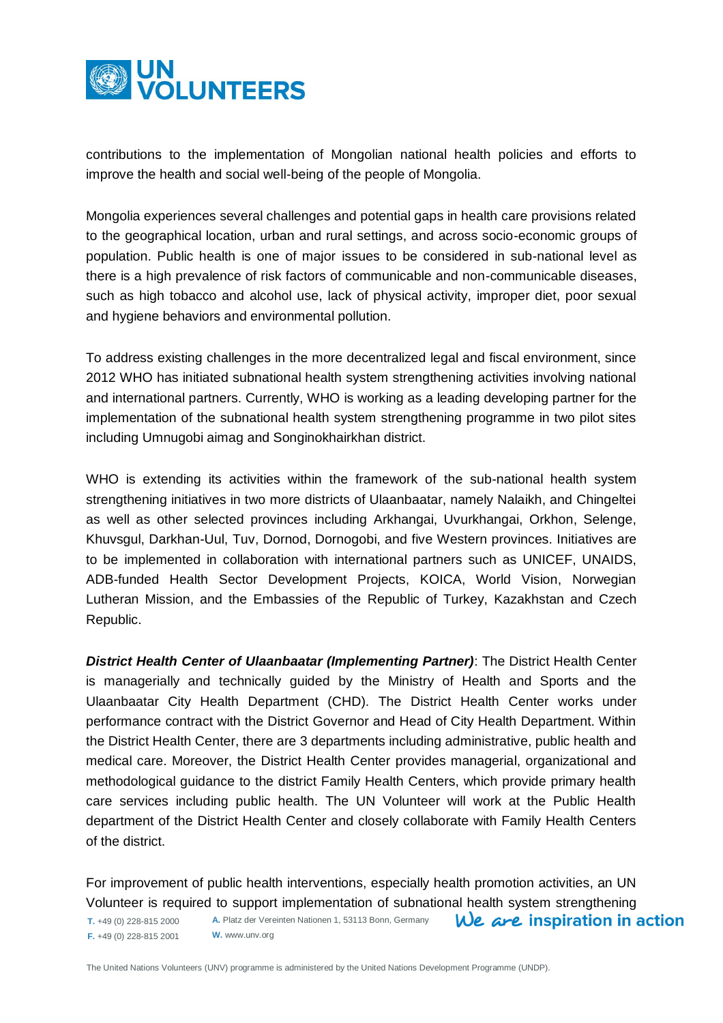

contributions to the implementation of Mongolian national health policies and efforts to improve the health and social well-being of the people of Mongolia.

Mongolia experiences several challenges and potential gaps in health care provisions related to the geographical location, urban and rural settings, and across socio-economic groups of population. Public health is one of major issues to be considered in sub-national level as there is a high prevalence of risk factors of communicable and non-communicable diseases, such as high tobacco and alcohol use, lack of physical activity, improper diet, poor sexual and hygiene behaviors and environmental pollution.

To address existing challenges in the more decentralized legal and fiscal environment, since 2012 WHO has initiated subnational health system strengthening activities involving national and international partners. Currently, WHO is working as a leading developing partner for the implementation of the subnational health system strengthening programme in two pilot sites including Umnugobi aimag and Songinokhairkhan district.

WHO is extending its activities within the framework of the sub-national health system strengthening initiatives in two more districts of Ulaanbaatar, namely Nalaikh, and Chingeltei as well as other selected provinces including Arkhangai, Uvurkhangai, Orkhon, Selenge, Khuvsgul, Darkhan-Uul, Tuv, Dornod, Dornogobi, and five Western provinces. Initiatives are to be implemented in collaboration with international partners such as UNICEF, UNAIDS, ADB-funded Health Sector Development Projects, KOICA, World Vision, Norwegian Lutheran Mission, and the Embassies of the Republic of Turkey, Kazakhstan and Czech Republic.

*District Health Center of Ulaanbaatar (Implementing Partner)*: The District Health Center is managerially and technically guided by the Ministry of Health and Sports and the Ulaanbaatar City Health Department (CHD). The District Health Center works under performance contract with the District Governor and Head of City Health Department. Within the District Health Center, there are 3 departments including administrative, public health and medical care. Moreover, the District Health Center provides managerial, organizational and methodological guidance to the district Family Health Centers, which provide primary health care services including public health. The UN Volunteer will work at the Public Health department of the District Health Center and closely collaborate with Family Health Centers of the district.

For improvement of public health interventions, especially health promotion activities, an UN Volunteer is required to support implementation of subnational health system strengthening

 $We$  are inspiration in action

**T.** +49 (0) 228-815 2000 **F.** +49 (0) 228-815 2001

**A.** Platz der Vereinten Nationen 1, 53113 Bonn, Germany **W.** www.unv.org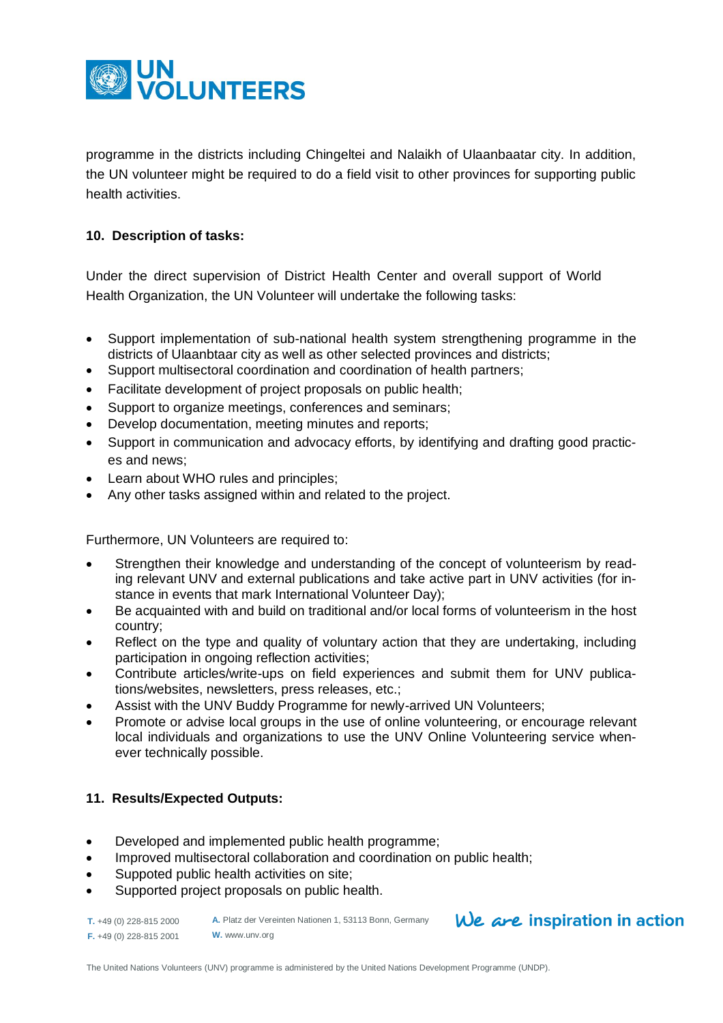

programme in the districts including Chingeltei and Nalaikh of Ulaanbaatar city. In addition, the UN volunteer might be required to do a field visit to other provinces for supporting public health activities.

## **10. Description of tasks:**

Under the direct supervision of District Health Center and overall support of World Health Organization, the UN Volunteer will undertake the following tasks:

- Support implementation of sub-national health system strengthening programme in the districts of Ulaanbtaar city as well as other selected provinces and districts;
- Support multisectoral coordination and coordination of health partners;
- Facilitate development of project proposals on public health;
- Support to organize meetings, conferences and seminars;
- Develop documentation, meeting minutes and reports;
- Support in communication and advocacy efforts, by identifying and drafting good practices and news;
- Learn about WHO rules and principles;
- Any other tasks assigned within and related to the project.

Furthermore, UN Volunteers are required to:

- Strengthen their knowledge and understanding of the concept of volunteerism by reading relevant UNV and external publications and take active part in UNV activities (for instance in events that mark International Volunteer Day);
- Be acquainted with and build on traditional and/or local forms of volunteerism in the host country;
- Reflect on the type and quality of voluntary action that they are undertaking, including participation in ongoing reflection activities;
- Contribute articles/write-ups on field experiences and submit them for UNV publications/websites, newsletters, press releases, etc.;
- Assist with the UNV Buddy Programme for newly-arrived UN Volunteers;
- Promote or advise local groups in the use of online volunteering, or encourage relevant local individuals and organizations to use the UNV Online Volunteering service whenever technically possible.

## **11. Results/Expected Outputs:**

- Developed and implemented public health programme;
- Improved multisectoral collaboration and coordination on public health;
- Suppoted public health activities on site;
- Supported project proposals on public health.

**T.** +49 (0) 228-815 2000 **F.** +49 (0) 228-815 2001 **A.** Platz der Vereinten Nationen 1, 53113 Bonn, Germany **W.** www.unv.org

## We are inspiration in action

The United Nations Volunteers (UNV) programme is administered by the United Nations Development Programme (UNDP).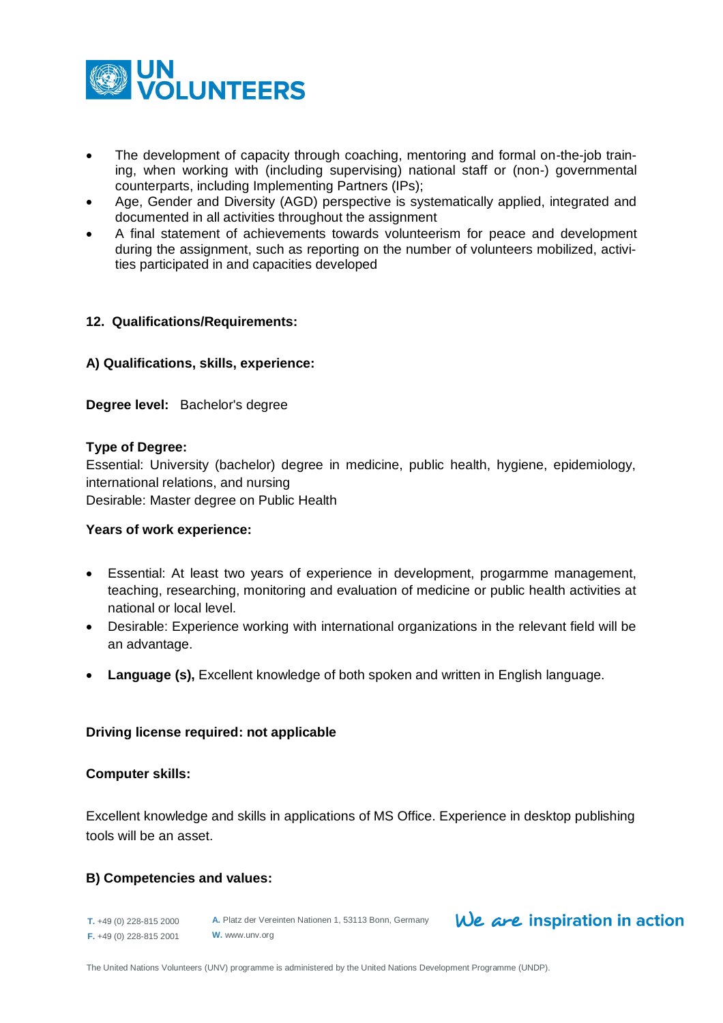

- The development of capacity through coaching, mentoring and formal on-the-job training, when working with (including supervising) national staff or (non-) governmental counterparts, including Implementing Partners (IPs);
- Age, Gender and Diversity (AGD) perspective is systematically applied, integrated and documented in all activities throughout the assignment
- A final statement of achievements towards volunteerism for peace and development during the assignment, such as reporting on the number of volunteers mobilized, activities participated in and capacities developed

## **12. Qualifications/Requirements:**

## **A) Qualifications, skills, experience:**

**Degree level:** Bachelor's degree

#### **Type of Degree:**

Essential: University (bachelor) degree in medicine, public health, hygiene, epidemiology, international relations, and nursing Desirable: Master degree on Public Health

#### **Years of work experience:**

- Essential: At least two years of experience in development, progarmme management, teaching, researching, monitoring and evaluation of medicine or public health activities at national or local level.
- Desirable: Experience working with international organizations in the relevant field will be an advantage.
- **Language (s),** Excellent knowledge of both spoken and written in English language.

#### **Driving license required: not applicable**

#### **Computer skills:**

Excellent knowledge and skills in applications of MS Office. Experience in desktop publishing tools will be an asset.

## **B) Competencies and values:**

**T.** +49 (0) 228-815 2000 **F.** +49 (0) 228-815 2001 **A.** Platz der Vereinten Nationen 1, 53113 Bonn, Germany **W.** www.unv.org

## $We$  are inspiration in action

The United Nations Volunteers (UNV) programme is administered by the United Nations Development Programme (UNDP).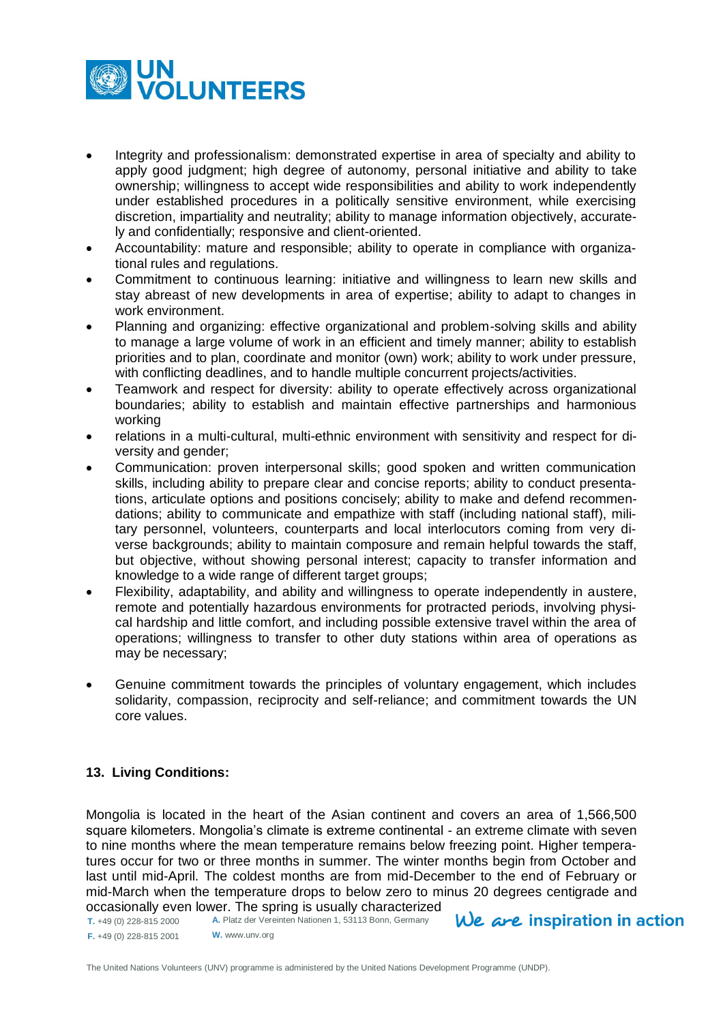

- Integrity and professionalism: demonstrated expertise in area of specialty and ability to apply good judgment; high degree of autonomy, personal initiative and ability to take ownership; willingness to accept wide responsibilities and ability to work independently under established procedures in a politically sensitive environment, while exercising discretion, impartiality and neutrality; ability to manage information objectively, accurately and confidentially; responsive and client-oriented.
- Accountability: mature and responsible; ability to operate in compliance with organizational rules and regulations.
- Commitment to continuous learning: initiative and willingness to learn new skills and stay abreast of new developments in area of expertise; ability to adapt to changes in work environment.
- Planning and organizing: effective organizational and problem-solving skills and ability to manage a large volume of work in an efficient and timely manner; ability to establish priorities and to plan, coordinate and monitor (own) work; ability to work under pressure, with conflicting deadlines, and to handle multiple concurrent projects/activities.
- Teamwork and respect for diversity: ability to operate effectively across organizational boundaries; ability to establish and maintain effective partnerships and harmonious working
- relations in a multi-cultural, multi-ethnic environment with sensitivity and respect for diversity and gender;
- Communication: proven interpersonal skills; good spoken and written communication skills, including ability to prepare clear and concise reports; ability to conduct presentations, articulate options and positions concisely; ability to make and defend recommendations; ability to communicate and empathize with staff (including national staff), military personnel, volunteers, counterparts and local interlocutors coming from very diverse backgrounds; ability to maintain composure and remain helpful towards the staff, but objective, without showing personal interest; capacity to transfer information and knowledge to a wide range of different target groups;
- Flexibility, adaptability, and ability and willingness to operate independently in austere, remote and potentially hazardous environments for protracted periods, involving physical hardship and little comfort, and including possible extensive travel within the area of operations; willingness to transfer to other duty stations within area of operations as may be necessary;
- Genuine commitment towards the principles of voluntary engagement, which includes solidarity, compassion, reciprocity and self-reliance; and commitment towards the UN core values.

## **13. Living Conditions:**

Mongolia is located in the heart of the Asian continent and covers an area of 1,566,500 square kilometers. Mongolia's climate is extreme continental - an extreme climate with seven to nine months where the mean temperature remains below freezing point. Higher temperatures occur for two or three months in summer. The winter months begin from October and last until mid-April. The coldest months are from mid-December to the end of February or mid-March when the temperature drops to below zero to minus 20 degrees centigrade and occasionally even lower. The spring is usually characterized

**T.** +49 (0) 228-815 2000 **F.** +49 (0) 228-815 2001 **A.** Platz der Vereinten Nationen 1, 53113 Bonn, Germany **W.** www.unv.org

We are inspiration in action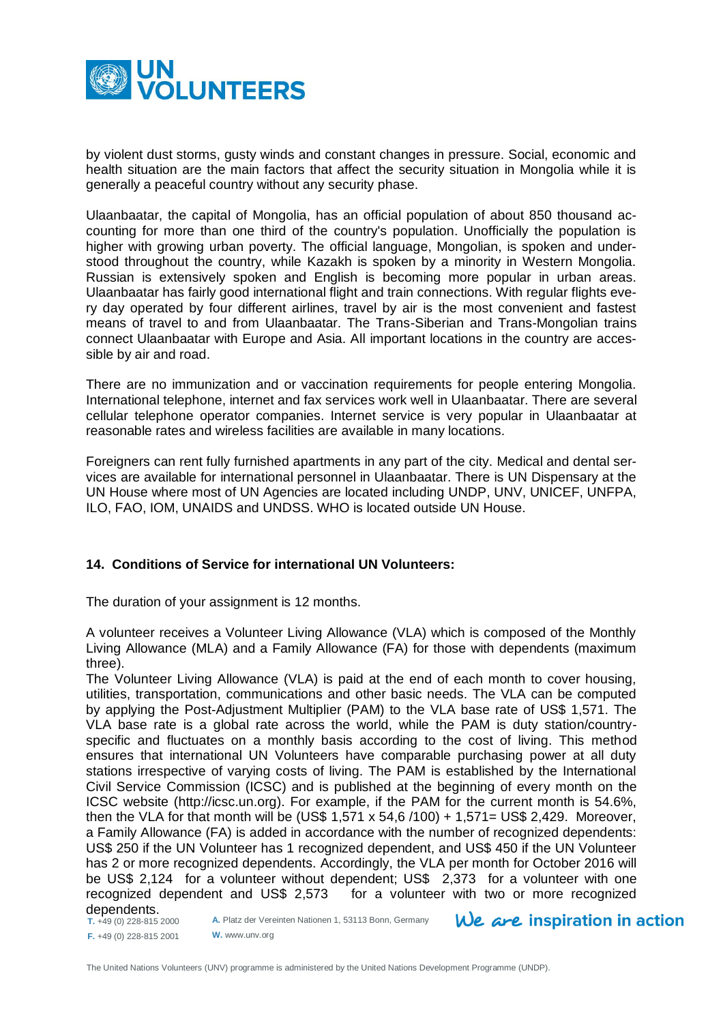

by violent dust storms, gusty winds and constant changes in pressure. Social, economic and health situation are the main factors that affect the security situation in Mongolia while it is generally a peaceful country without any security phase.

Ulaanbaatar, the capital of Mongolia, has an official population of about 850 thousand accounting for more than one third of the country's population. Unofficially the population is higher with growing urban poverty. The official language, Mongolian, is spoken and understood throughout the country, while Kazakh is spoken by a minority in Western Mongolia. Russian is extensively spoken and English is becoming more popular in urban areas. Ulaanbaatar has fairly good international flight and train connections. With regular flights every day operated by four different airlines, travel by air is the most convenient and fastest means of travel to and from Ulaanbaatar. The Trans-Siberian and Trans-Mongolian trains connect Ulaanbaatar with Europe and Asia. All important locations in the country are accessible by air and road.

There are no immunization and or vaccination requirements for people entering Mongolia. International telephone, internet and fax services work well in Ulaanbaatar. There are several cellular telephone operator companies. Internet service is very popular in Ulaanbaatar at reasonable rates and wireless facilities are available in many locations.

Foreigners can rent fully furnished apartments in any part of the city. Medical and dental services are available for international personnel in Ulaanbaatar. There is UN Dispensary at the UN House where most of UN Agencies are located including UNDP, UNV, UNICEF, UNFPA, ILO, FAO, IOM, UNAIDS and UNDSS. WHO is located outside UN House.

#### **14. Conditions of Service for international UN Volunteers:**

The duration of your assignment is 12 months.

A volunteer receives a Volunteer Living Allowance (VLA) which is composed of the Monthly Living Allowance (MLA) and a Family Allowance (FA) for those with dependents (maximum three).

The Volunteer Living Allowance (VLA) is paid at the end of each month to cover housing, utilities, transportation, communications and other basic needs. The VLA can be computed by applying the Post-Adjustment Multiplier (PAM) to the VLA base rate of US\$ 1,571. The VLA base rate is a global rate across the world, while the PAM is duty station/countryspecific and fluctuates on a monthly basis according to the cost of living. This method ensures that international UN Volunteers have comparable purchasing power at all duty stations irrespective of varying costs of living. The PAM is established by the International Civil Service Commission (ICSC) and is published at the beginning of every month on the ICSC website [\(http://icsc.un.org\)](http://icsc.un.org/). For example, if the PAM for the current month is 54.6%, then the VLA for that month will be (US\$ 1,571 x 54,6 /100) + 1,571= US\$ 2,429. Moreover, a Family Allowance (FA) is added in accordance with the number of recognized dependents: US\$ 250 if the UN Volunteer has 1 recognized dependent, and US\$ 450 if the UN Volunteer has 2 or more recognized dependents. Accordingly, the VLA per month for October 2016 will be US\$ 2,124 for a volunteer without dependent; US\$ 2,373 for a volunteer with one recognized dependent and US\$ 2,573 for a volunteer with two or more recognized dependents.

**A.** Platz der Vereinten Nationen 1, 53113 Bonn, Germany **W.** www.unv.org

 $We$  are inspiration in action